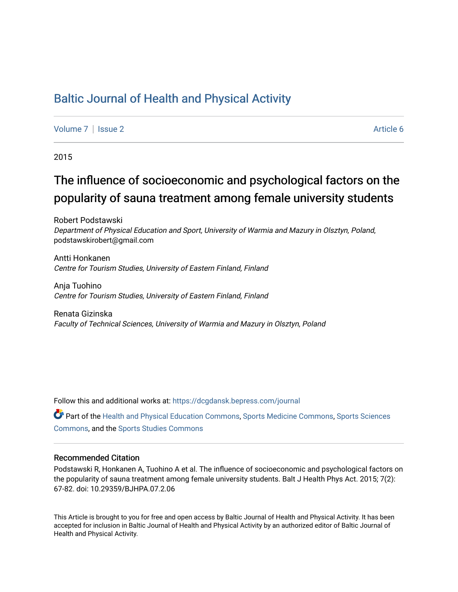# [Baltic Journal of Health and Physical Activity](https://dcgdansk.bepress.com/journal)

[Volume 7](https://dcgdansk.bepress.com/journal/vol7) | [Issue 2](https://dcgdansk.bepress.com/journal/vol7/iss2) Article 6

2015

# The influence of socioeconomic and psychological factors on the popularity of sauna treatment among female university students

Robert Podstawski Department of Physical Education and Sport, University of Warmia and Mazury in Olsztyn, Poland, podstawskirobert@gmail.com

Antti Honkanen Centre for Tourism Studies, University of Eastern Finland, Finland

Anja Tuohino Centre for Tourism Studies, University of Eastern Finland, Finland

Renata Gizinska Faculty of Technical Sciences, University of Warmia and Mazury in Olsztyn, Poland

Follow this and additional works at: [https://dcgdansk.bepress.com/journal](https://dcgdansk.bepress.com/journal?utm_source=dcgdansk.bepress.com%2Fjournal%2Fvol7%2Fiss2%2F6&utm_medium=PDF&utm_campaign=PDFCoverPages)

Part of the [Health and Physical Education Commons](http://network.bepress.com/hgg/discipline/1327?utm_source=dcgdansk.bepress.com%2Fjournal%2Fvol7%2Fiss2%2F6&utm_medium=PDF&utm_campaign=PDFCoverPages), [Sports Medicine Commons,](http://network.bepress.com/hgg/discipline/1331?utm_source=dcgdansk.bepress.com%2Fjournal%2Fvol7%2Fiss2%2F6&utm_medium=PDF&utm_campaign=PDFCoverPages) [Sports Sciences](http://network.bepress.com/hgg/discipline/759?utm_source=dcgdansk.bepress.com%2Fjournal%2Fvol7%2Fiss2%2F6&utm_medium=PDF&utm_campaign=PDFCoverPages) [Commons](http://network.bepress.com/hgg/discipline/759?utm_source=dcgdansk.bepress.com%2Fjournal%2Fvol7%2Fiss2%2F6&utm_medium=PDF&utm_campaign=PDFCoverPages), and the [Sports Studies Commons](http://network.bepress.com/hgg/discipline/1198?utm_source=dcgdansk.bepress.com%2Fjournal%2Fvol7%2Fiss2%2F6&utm_medium=PDF&utm_campaign=PDFCoverPages) 

#### Recommended Citation

Podstawski R, Honkanen A, Tuohino A et al. The influence of socioeconomic and psychological factors on the popularity of sauna treatment among female university students. Balt J Health Phys Act. 2015; 7(2): 67-82. doi: 10.29359/BJHPA.07.2.06

This Article is brought to you for free and open access by Baltic Journal of Health and Physical Activity. It has been accepted for inclusion in Baltic Journal of Health and Physical Activity by an authorized editor of Baltic Journal of Health and Physical Activity.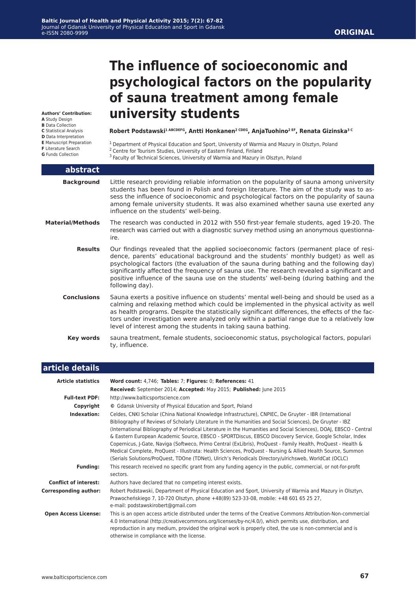# **The influence of socioeconomic and psychological factors on the popularity of sauna treatment among female university students**

**Authors' Contribution:**

- **A** Study Design
- **B** Data Collection
- **C** Statistical Analysis
- **D** Data Interpretation **E** Manuscript Preparation
- **F** Literature Search
- **G** Funds Collection
- 

Robert Podstawski<sup>1 ABCDEFG</sup>, Antti Honkanen<sup>2 CDEG</sup>, AnjaTuohino<sup>2 EF</sup>, Renata Gizinska<sup>3 C</sup>

<sup>1</sup> Department of Physical Education and Sport, University of Warmia and Mazury in Olsztyn, Poland

- 2 Centre for Tourism Studies, University of Eastern Finland, Finland
- <sup>3</sup> Faculty of Technical Sciences, University of Warmia and Mazury in Olsztyn, Poland

| abstract           |                                                                                                                                                                                                                                                                                                                                                                                                                                                                                       |
|--------------------|---------------------------------------------------------------------------------------------------------------------------------------------------------------------------------------------------------------------------------------------------------------------------------------------------------------------------------------------------------------------------------------------------------------------------------------------------------------------------------------|
| <b>Background</b>  | Little research providing reliable information on the popularity of sauna among university<br>students has been found in Polish and foreign literature. The aim of the study was to as-<br>sess the influence of socioeconomic and psychological factors on the popularity of sauna<br>among female university students. It was also examined whether sauna use exerted any<br>influence on the students' well-being.                                                                 |
| Material/Methods   | The research was conducted in 2012 with 550 first-year female students, aged 19-20. The<br>research was carried out with a diagnostic survey method using an anonymous questionna-<br>ire.                                                                                                                                                                                                                                                                                            |
| <b>Results</b>     | Our findings revealed that the applied socioeconomic factors (permanent place of resi-<br>dence, parents' educational background and the students' monthly budget) as well as<br>psychological factors (the evaluation of the sauna during bathing and the following day)<br>significantly affected the frequency of sauna use. The research revealed a significant and<br>positive influence of the sauna use on the students' well-being (during bathing and the<br>following day). |
| <b>Conclusions</b> | Sauna exerts a positive influence on students' mental well-being and should be used as a<br>calming and relaxing method which could be implemented in the physical activity as well<br>as health programs. Despite the statistically significant differences, the effects of the fac-<br>tors under investigation were analyzed only within a partial range due to a relatively low<br>level of interest among the students in taking sauna bathing.                                  |
| Key words          | sauna treatment, female students, socioeconomic status, psychological factors, populari<br>ty, influence.                                                                                                                                                                                                                                                                                                                                                                             |

| article details              |                                                                                                                                                                                                                                                                                                                                                                                                                                                                                                                                                                                                                                                                                                                                                                                                |
|------------------------------|------------------------------------------------------------------------------------------------------------------------------------------------------------------------------------------------------------------------------------------------------------------------------------------------------------------------------------------------------------------------------------------------------------------------------------------------------------------------------------------------------------------------------------------------------------------------------------------------------------------------------------------------------------------------------------------------------------------------------------------------------------------------------------------------|
| <b>Article statistics</b>    | Word count: 4,746; Tables: 7; Figures: 0; References: 41                                                                                                                                                                                                                                                                                                                                                                                                                                                                                                                                                                                                                                                                                                                                       |
|                              | Received: September 2014; Accepted: May 2015; Published: June 2015                                                                                                                                                                                                                                                                                                                                                                                                                                                                                                                                                                                                                                                                                                                             |
| <b>Full-text PDF:</b>        | http://www.balticsportscience.com                                                                                                                                                                                                                                                                                                                                                                                                                                                                                                                                                                                                                                                                                                                                                              |
| Copyright                    | © Gdansk University of Physical Education and Sport, Poland                                                                                                                                                                                                                                                                                                                                                                                                                                                                                                                                                                                                                                                                                                                                    |
| Indexation:                  | Celdes, CNKI Scholar (China National Knowledge Infrastructure), CNPIEC, De Gruyter - IBR (International<br>Bibliography of Reviews of Scholarly Literature in the Humanities and Social Sciences), De Gruyter - IBZ<br>(International Bibliography of Periodical Literature in the Humanities and Social Sciences), DOAI, EBSCO - Central<br>& Eastern European Academic Source, EBSCO - SPORTDiscus, EBSCO Discovery Service, Google Scholar, Index<br>Copernicus, J-Gate, Naviga (Softweco, Primo Central (ExLibris), ProQuest - Family Health, ProQuest - Health &<br>Medical Complete, ProQuest - Illustrata: Health Sciences, ProQuest - Nursing & Allied Health Source, Summon<br>(Serials Solutions/ProQuest, TDOne (TDNet), Ulrich's Periodicals Directory/ulrichsweb, WorldCat (OCLC) |
| <b>Funding:</b>              | This research received no specific grant from any funding agency in the public, commercial, or not-for-profit<br>sectors.                                                                                                                                                                                                                                                                                                                                                                                                                                                                                                                                                                                                                                                                      |
| <b>Conflict of interest:</b> | Authors have declared that no competing interest exists.                                                                                                                                                                                                                                                                                                                                                                                                                                                                                                                                                                                                                                                                                                                                       |
| <b>Corresponding author:</b> | Robert Podstawski, Department of Physical Education and Sport, University of Warmia and Mazury in Olsztyn,<br>Prawocheńskiego 7, 10-720 Olsztyn, phone +48(89) 523-33-08, mobile: +48 601 65 25 27,<br>e-mail: podstawskirobert@gmail.com                                                                                                                                                                                                                                                                                                                                                                                                                                                                                                                                                      |
| <b>Open Access License:</b>  | This is an open access article distributed under the terms of the Creative Commons Attribution-Non-commercial<br>4.0 International (http://creativecommons.org/licenses/by-nc/4.0/), which permits use, distribution, and<br>reproduction in any medium, provided the original work is properly cited, the use is non-commercial and is<br>otherwise in compliance with the license.                                                                                                                                                                                                                                                                                                                                                                                                           |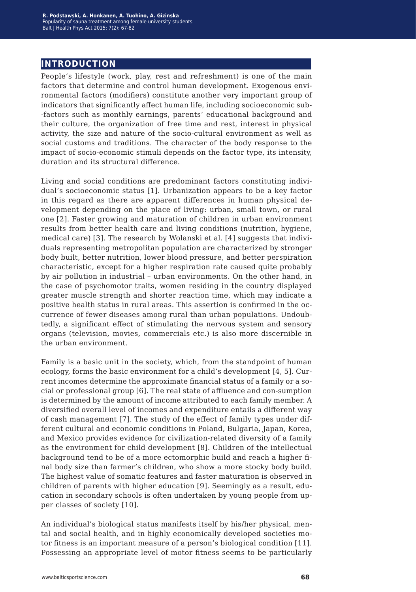# **introduction**

People's lifestyle (work, play, rest and refreshment) is one of the main factors that determine and control human development. Exogenous environmental factors (modifiers) constitute another very important group of indicators that significantly affect human life, including socioeconomic sub- -factors such as monthly earnings, parents' educational background and their culture, the organization of free time and rest, interest in physical activity, the size and nature of the socio-cultural environment as well as social customs and traditions. The character of the body response to the impact of socio-economic stimuli depends on the factor type, its intensity, duration and its structural difference.

Living and social conditions are predominant factors constituting individual's socioeconomic status [1]. Urbanization appears to be a key factor in this regard as there are apparent differences in human physical development depending on the place of living: urban, small town, or rural one [2]. Faster growing and maturation of children in urban environment results from better health care and living conditions (nutrition, hygiene, medical care) [3]. The research by Wolanski et al. [4] suggests that individuals representing metropolitan population are characterized by stronger body built, better nutrition, lower blood pressure, and better perspiration characteristic, except for a higher respiration rate caused quite probably by air pollution in industrial – urban environments. On the other hand, in the case of psychomotor traits, women residing in the country displayed greater muscle strength and shorter reaction time, which may indicate a positive health status in rural areas. This assertion is confirmed in the occurrence of fewer diseases among rural than urban populations. Undoubtedly, a significant effect of stimulating the nervous system and sensory organs (television, movies, commercials etc.) is also more discernible in the urban environment.

Family is a basic unit in the society, which, from the standpoint of human ecology, forms the basic environment for a child's development [4, 5]. Current incomes determine the approximate financial status of a family or a social or professional group [6]. The real state of affluence and con-sumption is determined by the amount of income attributed to each family member. A diversified overall level of incomes and expenditure entails a different way of cash management [7]. The study of the effect of family types under different cultural and economic conditions in Poland, Bulgaria, Japan, Korea, and Mexico provides evidence for civilization-related diversity of a family as the environment for child development [8]. Children of the intellectual background tend to be of a more ectomorphic build and reach a higher final body size than farmer's children, who show a more stocky body build. The highest value of somatic features and faster maturation is observed in children of parents with higher education [9]. Seemingly as a result, education in secondary schools is often undertaken by young people from upper classes of society [10].

An individual's biological status manifests itself by his/her physical, mental and social health, and in highly economically developed societies motor fitness is an important measure of a person's biological condition [11]. Possessing an appropriate level of motor fitness seems to be particularly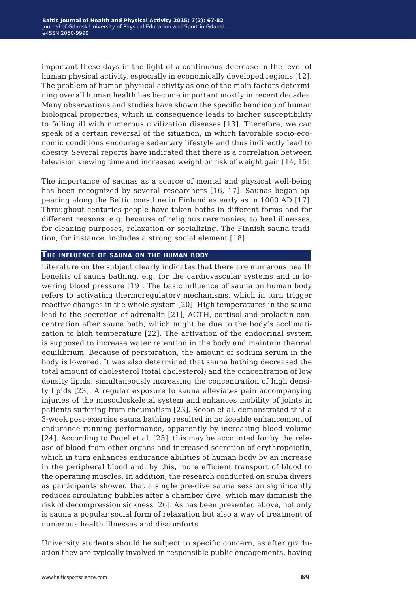important these days in the light of a continuous decrease in the level of human physical activity, especially in economically developed regions [12]. The problem of human physical activity as one of the main factors determining overall human health has become important mostly in recent decades. Many observations and studies have shown the specific handicap of human biological properties, which in consequence leads to higher susceptibility to falling ill with numerous civilization diseases [13]. Therefore, we can speak of a certain reversal of the situation, in which favorable socio-economic conditions encourage sedentary lifestyle and thus indirectly lead to obesity. Several reports have indicated that there is a correlation between television viewing time and increased weight or risk of weight gain [14, 15].

The importance of saunas as a source of mental and physical well-being has been recognized by several researchers [16, 17]. Saunas began appearing along the Baltic coastline in Finland as early as in 1000 AD [17]. Throughout centuries people have taken baths in different forms and for different reasons, e.g. because of religious ceremonies, to heal illnesses, for cleaning purposes, relaxation or socializing. The Finnish sauna tradition, for instance, includes a strong social element [18].

#### **The influence of sauna on the human body**

Literature on the subject clearly indicates that there are numerous health benefits of sauna bathing, e.g. for the cardiovascular systems and in lowering blood pressure [19]. The basic influence of sauna on human body refers to activating thermoregulatory mechanisms, which in turn trigger reactive changes in the whole system [20]. High temperatures in the sauna lead to the secretion of adrenalin [21], ACTH, cortisol and prolactin concentration after sauna bath, which might be due to the body's acclimatization to high temperature [22]. The activation of the endocrinal system is supposed to increase water retention in the body and maintain thermal equilibrium. Because of perspiration, the amount of sodium serum in the body is lowered. It was also determined that sauna bathing decreased the total amount of cholesterol (total cholesterol) and the concentration of low density lipids, simultaneously increasing the concentration of high density lipids [23]. A regular exposure to sauna alleviates pain accompanying injuries of the musculoskeletal system and enhances mobility of joints in patients suffering from rheumatism [23]. Scoon et al. demonstrated that a 3-week post-exercise sauna bathing resulted in noticeable enhancement of endurance running performance, apparently by increasing blood volume [24]. According to Pagel et al. [25], this may be accounted for by the release of blood from other organs and increased secretion of erythropoietin, which in turn enhances endurance abilities of human body by an increase in the peripheral blood and, by this, more efficient transport of blood to the operating muscles. In addition, the research conducted on scuba divers as participants showed that a single pre-dive sauna session significantly reduces circulating bubbles after a chamber dive, which may diminish the risk of decompression sickness [26]. As has been presented above, not only is sauna a popular social form of relaxation but also a way of treatment of numerous health illnesses and discomforts.

University students should be subject to specific concern, as after graduation they are typically involved in responsible public engagements, having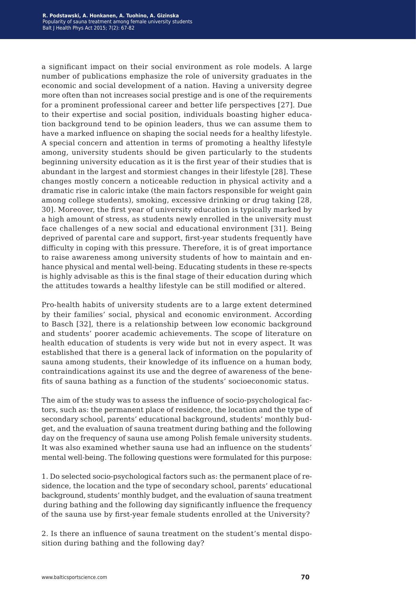a significant impact on their social environment as role models. A large number of publications emphasize the role of university graduates in the economic and social development of a nation. Having a university degree more often than not increases social prestige and is one of the requirements for a prominent professional career and better life perspectives [27]. Due to their expertise and social position, individuals boasting higher education background tend to be opinion leaders, thus we can assume them to have a marked influence on shaping the social needs for a healthy lifestyle. A special concern and attention in terms of promoting a healthy lifestyle among, university students should be given particularly to the students beginning university education as it is the first year of their studies that is abundant in the largest and stormiest changes in their lifestyle [28]. These changes mostly concern a noticeable reduction in physical activity and a dramatic rise in caloric intake (the main factors responsible for weight gain among college students), smoking, excessive drinking or drug taking [28, 30]. Moreover, the first year of university education is typically marked by a high amount of stress, as students newly enrolled in the university must face challenges of a new social and educational environment [31]. Being deprived of parental care and support, first-year students frequently have difficulty in coping with this pressure. Therefore, it is of great importance to raise awareness among university students of how to maintain and enhance physical and mental well-being. Educating students in these re-spects is highly advisable as this is the final stage of their education during which the attitudes towards a healthy lifestyle can be still modified or altered.

Pro-health habits of university students are to a large extent determined by their families' social, physical and economic environment. According to Basch [32], there is a relationship between low economic background and students' poorer academic achievements. The scope of literature on health education of students is very wide but not in every aspect. It was established that there is a general lack of information on the popularity of sauna among students, their knowledge of its influence on a human body, contraindications against its use and the degree of awareness of the benefits of sauna bathing as a function of the students' socioeconomic status.

The aim of the study was to assess the influence of socio-psychological factors, such as: the permanent place of residence, the location and the type of secondary school, parents' educational background, students' monthly budget, and the evaluation of sauna treatment during bathing and the following day on the frequency of sauna use among Polish female university students. It was also examined whether sauna use had an influence on the students' mental well-being. The following questions were formulated for this purpose:

1. Do selected socio-psychological factors such as: the permanent place of residence, the location and the type of secondary school, parents' educational background, students' monthly budget, and the evaluation of sauna treatment during bathing and the following day significantly influence the frequency of the sauna use by first-year female students enrolled at the University?

2. Is there an influence of sauna treatment on the student's mental disposition during bathing and the following day?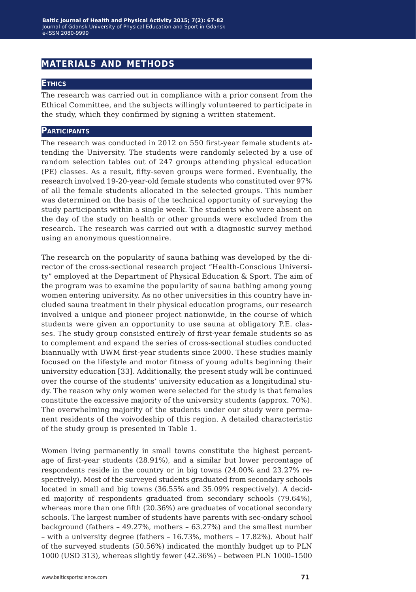# **materials and methods**

#### **Ethics**

The research was carried out in compliance with a prior consent from the Ethical Committee, and the subjects willingly volunteered to participate in the study, which they confirmed by signing a written statement.

#### **Participants**

The research was conducted in 2012 on 550 first-year female students attending the University. The students were randomly selected by a use of random selection tables out of 247 groups attending physical education (PE) classes. As a result, fifty-seven groups were formed. Eventually, the research involved 19-20-year-old female students who constituted over 97% of all the female students allocated in the selected groups. This number was determined on the basis of the technical opportunity of surveying the study participants within a single week. The students who were absent on the day of the study on health or other grounds were excluded from the research. The research was carried out with a diagnostic survey method using an anonymous questionnaire.

The research on the popularity of sauna bathing was developed by the director of the cross-sectional research project "Health-Conscious University" employed at the Department of Physical Education & Sport. The aim of the program was to examine the popularity of sauna bathing among young women entering university. As no other universities in this country have included sauna treatment in their physical education programs, our research involved a unique and pioneer project nationwide, in the course of which students were given an opportunity to use sauna at obligatory P.E. classes. The study group consisted entirely of first-year female students so as to complement and expand the series of cross-sectional studies conducted biannually with UWM first-year students since 2000. These studies mainly focused on the lifestyle and motor fitness of young adults beginning their university education [33]. Additionally, the present study will be continued over the course of the students' university education as a longitudinal study. The reason why only women were selected for the study is that females constitute the excessive majority of the university students (approx. 70%). The overwhelming majority of the students under our study were permanent residents of the voivodeship of this region. A detailed characteristic of the study group is presented in Table 1.

Women living permanently in small towns constitute the highest percentage of first-year students (28.91%), and a similar but lower percentage of respondents reside in the country or in big towns (24.00% and 23.27% respectively). Most of the surveyed students graduated from secondary schools located in small and big towns (36.55% and 35.09% respectively). A decided majority of respondents graduated from secondary schools (79.64%), whereas more than one fifth (20.36%) are graduates of vocational secondary schools. The largest number of students have parents with sec-ondary school background (fathers – 49.27%, mothers – 63.27%) and the smallest number – with a university degree (fathers – 16.73%, mothers – 17.82%). About half of the surveyed students (50.56%) indicated the monthly budget up to PLN 1000 (USD 313), whereas slightly fewer (42.36%) – between PLN 1000–1500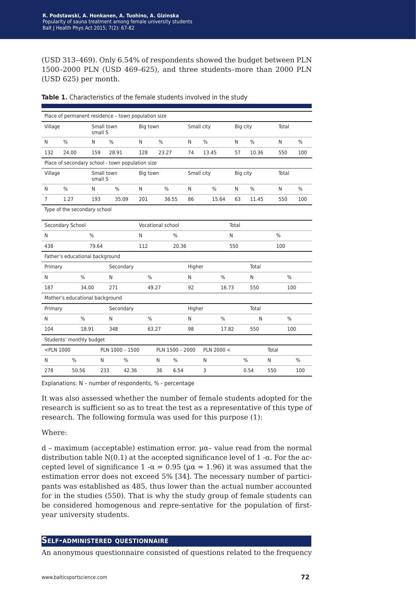(USD 313–469). Only 6.54% of respondents showed the budget between PLN 1500–2000 PLN (USD 469–625), and three students–more than 2000 PLN (USD 625) per month.

|                                                                                                                                                                                                     | Place of permanent residence - town population size |         |                 |          |                   |                 |        |               |       |               |               |               |
|-----------------------------------------------------------------------------------------------------------------------------------------------------------------------------------------------------|-----------------------------------------------------|---------|-----------------|----------|-------------------|-----------------|--------|---------------|-------|---------------|---------------|---------------|
| Village                                                                                                                                                                                             |                                                     | small S | Small town      | Big town |                   |                 |        | Small city    |       | Big city      | Total         |               |
| N                                                                                                                                                                                                   | $\%$                                                | N       | $\frac{0}{0}$   | N        | $\frac{0}{0}$     | N               |        | $\%$          | N     | $\%$          | N             | $\frac{0}{0}$ |
| 132                                                                                                                                                                                                 | 24.00                                               | 159     | 28.91           | 128      | 23.27             | 74              |        | 13.45         | 57    | 10.36         | 550           | 100           |
|                                                                                                                                                                                                     | Place of secondary school - town population size    |         |                 |          |                   |                 |        |               |       |               |               |               |
| Village                                                                                                                                                                                             |                                                     | small S | Small town      | Big town |                   |                 |        | Small city    |       | Big city      | Total         |               |
| N                                                                                                                                                                                                   | $\frac{0}{0}$                                       | N       | $\frac{0}{0}$   | N        | $\frac{0}{0}$     | N               |        | $\frac{0}{0}$ | N     | $\frac{0}{0}$ | N             | $\frac{0}{0}$ |
| $\overline{7}$                                                                                                                                                                                      | 1.27                                                | 193     | 35.09           | 201      |                   | 36.55<br>86     |        | 15.64         | 63    | 11.45         | 550           | 100           |
|                                                                                                                                                                                                     | Type of the secondary school                        |         |                 |          |                   |                 |        |               |       |               |               |               |
|                                                                                                                                                                                                     | Secondary School                                    |         |                 |          | Vocational school |                 |        |               | Total |               |               |               |
| N                                                                                                                                                                                                   |                                                     | %       |                 | N        |                   | $\%$            |        |               | N     |               | $\frac{0}{0}$ |               |
| 438                                                                                                                                                                                                 |                                                     | 79.64   |                 | 112      |                   | 20.36           |        |               | 550   |               | 100           |               |
|                                                                                                                                                                                                     | Father's educational background                     |         |                 |          |                   |                 |        |               |       |               |               |               |
| Primary                                                                                                                                                                                             |                                                     |         | Secondary       |          |                   |                 | Higher |               |       | Total         |               |               |
| N                                                                                                                                                                                                   | $\frac{0}{0}$                                       |         | N               | %        |                   | N               |        | %             |       | N             |               | $\frac{0}{0}$ |
| 187                                                                                                                                                                                                 |                                                     | 34.00   | 271             |          | 49.27             | 92              |        | 16.73         |       | 550           |               | 100           |
|                                                                                                                                                                                                     | Mother's educational background                     |         |                 |          |                   |                 |        |               |       |               |               |               |
| Primary                                                                                                                                                                                             |                                                     |         | Secondary       |          |                   |                 | Higher |               |       | Total         |               |               |
| N                                                                                                                                                                                                   | $\frac{0}{0}$                                       |         | N               | $\%$     |                   | N               |        | $\%$          |       | N             |               | $\%$          |
| 104                                                                                                                                                                                                 |                                                     | 18.91   | 348             |          | 63.27             | 98              |        | 17.82         |       | 550           |               | 100           |
|                                                                                                                                                                                                     | Students' monthly budget                            |         |                 |          |                   |                 |        |               |       |               |               |               |
| <pln 1000<="" td=""><td></td><td></td><td>PLN 1000 - 1500</td><td></td><td></td><td>PLN 1500 - 2000</td><td></td><td>PLN 2000 <math>&lt;</math></td><td></td><td></td><td>Total</td><td></td></pln> |                                                     |         | PLN 1000 - 1500 |          |                   | PLN 1500 - 2000 |        | PLN 2000 $<$  |       |               | Total         |               |
| N                                                                                                                                                                                                   | $\frac{0}{0}$                                       | N       |                 | $\%$     | N                 | $\%$            |        | N             |       | $\%$          | N             | $\frac{0}{0}$ |
| 278                                                                                                                                                                                                 | 50.56                                               |         | 233             | 42.36    | 36                | 6.54            |        | 3             |       | 0.54          | 550           | 100           |

Table 1. Characteristics of the female students involved in the study

Explanations: N – number of respondents, % - percentage

It was also assessed whether the number of female students adopted for the research is sufficient so as to treat the test as a representative of this type of research. The following formula was used for this purpose (1):

Where:

d – maximum (acceptable) estimation error. µα– value read from the normal distribution table  $N(0.1)$  at the accepted significance level of 1 - $\alpha$ . For the accepted level of significance 1 -α = 0.95 (μα = 1.96) it was assumed that the estimation error does not exceed 5% [34]. The necessary number of participants was established as 485, thus lower than the actual number accounted for in the studies (550). That is why the study group of female students can be considered homogenous and repre-sentative for the population of firstyear university students.

#### **Self-administered questionnaire**

An anonymous questionnaire consisted of questions related to the frequency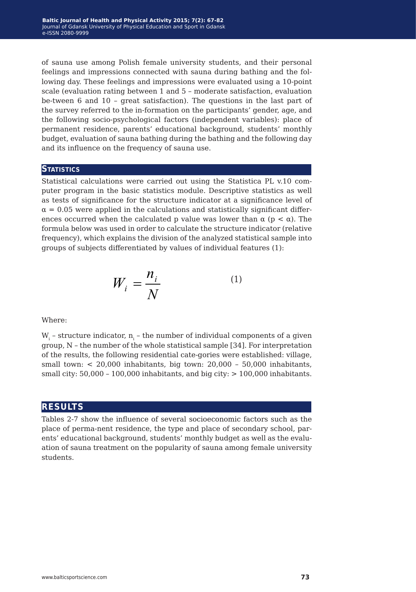of sauna use among Polish female university students, and their personal feelings and impressions connected with sauna during bathing and the following day. These feelings and impressions were evaluated using a 10-point scale (evaluation rating between 1 and 5 – moderate satisfaction, evaluation be-tween 6 and 10 – great satisfaction). The questions in the last part of the survey referred to the in-formation on the participants' gender, age, and the following socio-psychological factors (independent variables): place of permanent residence, parents' educational background, students' monthly budget, evaluation of sauna bathing during the bathing and the following day and its influence on the frequency of sauna use.

#### **STATISTICS**

Statistical calculations were carried out using the Statistica PL v.10 computer program in the basic statistics module. Descriptive statistics as well as tests of significance for the structure indicator at a significance level of  $\alpha$  = 0.05 were applied in the calculations and statistically significant differences occurred when the calculated p value was lower than  $\alpha$  (p <  $\alpha$ ). The formula below was used in order to calculate the structure indicator (relative frequency), which explains the division of the analyzed statistical sample into groups of subjects differentiated by values of individual features (1):

$$
W_i = \frac{n_i}{N} \tag{1}
$$

Where:

 $\bm{\mathsf{W}}_{\text{i}}$  – structure indicator,  $\bm{{\mathsf{n}}}_{\text{i}}$  – the number of individual components of a given group, N – the number of the whole statistical sample [34]. For interpretation of the results, the following residential cate-gories were established: village, small town: < 20,000 inhabitants, big town: 20,000 – 50,000 inhabitants, small city: 50,000 - 100,000 inhabitants, and big city:  $> 100,000$  inhabitants.

### **results**

Tables 2-7 show the influence of several socioeconomic factors such as the place of perma-nent residence, the type and place of secondary school, parents' educational background, students' monthly budget as well as the evaluation of sauna treatment on the popularity of sauna among female university students.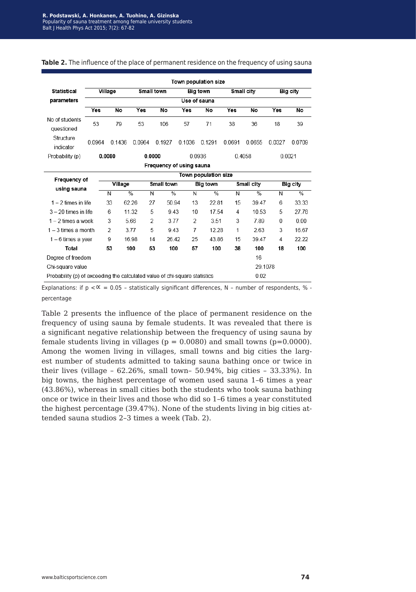|                              |                                                                                                                                                                                                                                                                                                                                                                                                                                                                                                                                                                                                  |         |        |                   |        | Town population size |        |               |        |                 |
|------------------------------|--------------------------------------------------------------------------------------------------------------------------------------------------------------------------------------------------------------------------------------------------------------------------------------------------------------------------------------------------------------------------------------------------------------------------------------------------------------------------------------------------------------------------------------------------------------------------------------------------|---------|--------|-------------------|--------|----------------------|--------|---------------|--------|-----------------|
| <b>Statistical</b>           |                                                                                                                                                                                                                                                                                                                                                                                                                                                                                                                                                                                                  | Village |        | <b>Small town</b> |        | Big town             |        | Small city    |        | <b>Big city</b> |
| parameters                   |                                                                                                                                                                                                                                                                                                                                                                                                                                                                                                                                                                                                  |         |        |                   |        | Use of sauna         |        |               |        |                 |
|                              | Yes                                                                                                                                                                                                                                                                                                                                                                                                                                                                                                                                                                                              | No      | Yes    | No                | Yes    | No                   | Yes    | No            | Yes    | No              |
| No of students<br>questioned | 53                                                                                                                                                                                                                                                                                                                                                                                                                                                                                                                                                                                               | 79      | 53     | 106               | 57     | 71                   | 38     | 36            | 18     | 39              |
| Structure<br>indicator       | 0.0964                                                                                                                                                                                                                                                                                                                                                                                                                                                                                                                                                                                           | 0.1436  | 0.0964 | 0.1927            | 0.1036 | 0.1291               | 0.0691 | 0.0655        | 0.0327 | 0.0709          |
| Probability (p)              |                                                                                                                                                                                                                                                                                                                                                                                                                                                                                                                                                                                                  |         |        |                   |        |                      |        |               |        |                 |
|                              |                                                                                                                                                                                                                                                                                                                                                                                                                                                                                                                                                                                                  |         |        |                   |        |                      |        |               |        |                 |
| Frequency of                 |                                                                                                                                                                                                                                                                                                                                                                                                                                                                                                                                                                                                  |         |        |                   |        |                      |        |               |        |                 |
| using sauna                  |                                                                                                                                                                                                                                                                                                                                                                                                                                                                                                                                                                                                  |         |        |                   |        |                      |        |               |        |                 |
|                              |                                                                                                                                                                                                                                                                                                                                                                                                                                                                                                                                                                                                  | N       |        |                   |        | $\frac{0}{2}$        | Ñ      | $\frac{0}{6}$ | N      | $\frac{0}{6}$   |
| $1 - 2$ times in life        |                                                                                                                                                                                                                                                                                                                                                                                                                                                                                                                                                                                                  | 33      |        |                   |        |                      | 15     |               | 6      | 33.33           |
| $3 - 20$ times in life       |                                                                                                                                                                                                                                                                                                                                                                                                                                                                                                                                                                                                  | 6       |        |                   |        |                      | 4      |               | 5      | 27.78           |
| $1 - 2$ times a week         |                                                                                                                                                                                                                                                                                                                                                                                                                                                                                                                                                                                                  | 3       |        |                   | 2      |                      | 3      | 7.89          | 0      | 0.00            |
| $1 - 3$ times a month        |                                                                                                                                                                                                                                                                                                                                                                                                                                                                                                                                                                                                  | 2       |        |                   | 7      |                      | 1      | 2.63          | 3      | 16.67           |
| $1-6$ times a year           |                                                                                                                                                                                                                                                                                                                                                                                                                                                                                                                                                                                                  | 9       |        |                   |        |                      | 15     |               | 4      | 22.22           |
| Total                        |                                                                                                                                                                                                                                                                                                                                                                                                                                                                                                                                                                                                  | 53      |        |                   |        |                      | 38     | 100           | 18     | 100             |
| Degree of freedom            |                                                                                                                                                                                                                                                                                                                                                                                                                                                                                                                                                                                                  |         |        |                   |        |                      |        | 16            |        |                 |
| Chi-square value             |                                                                                                                                                                                                                                                                                                                                                                                                                                                                                                                                                                                                  |         |        |                   |        |                      |        |               |        |                 |
|                              | 0.0080<br>0.0000<br>0.0021<br>0.0936<br>0.4058<br>Frequency of using sauna<br>Town population size<br>Small town<br>Village<br><b>Big town</b><br>Small city<br>Big city<br>$\frac{0}{2}$<br>$\overline{N}$<br>$\frac{0}{2}$<br>$\overline{\mathsf{N}}$<br>13<br>62.26<br>27<br>50.94<br>22.81<br>39.47<br>5<br>11.32<br>9.43<br>10<br>17.54<br>10.53<br>2<br>5.66<br>3.51<br>3.77<br>5<br>3.77<br>12.28<br>9.43<br>16.98<br>26.42<br>25<br>4386<br>3947<br>14<br>100<br>53<br>100<br>57<br>100<br>29.1078<br>Probability (p) of exceeding the calculated value of chi-square statistics<br>0.02 |         |        |                   |        |                      |        |               |        |                 |

#### Table 2. The influence of the place of permanent residence on the frequency of using sauna

Explanations: if  $p < \alpha = 0.05$  – statistically significant differences, N – number of respondents, % percentage

Table 2 presents the influence of the place of permanent residence on the frequency of using sauna by female students. It was revealed that there is a significant negative relationship between the frequency of using sauna by female students living in villages ( $p = 0.0080$ ) and small towns ( $p=0.0000$ ). Among the women living in villages, small towns and big cities the largest number of students admitted to taking sauna bathing once or twice in their lives (village – 62.26%, small town– 50.94%, big cities – 33.33%). In big towns, the highest percentage of women used sauna 1–6 times a year (43.86%), whereas in small cities both the students who took sauna bathing once or twice in their lives and those who did so 1–6 times a year constituted the highest percentage (39.47%). None of the students living in big cities attended sauna studios 2–3 times a week (Tab. 2).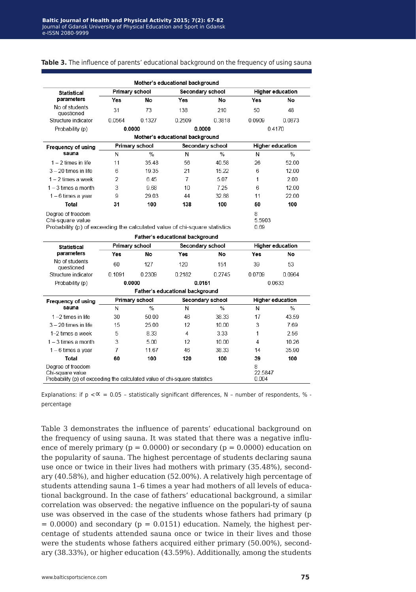#### **Table 3.** The influence of parents' educational background on the frequency of using sauna

|                                                                                                                     |                       |                | Mother's educational background |                        |                       |                               |
|---------------------------------------------------------------------------------------------------------------------|-----------------------|----------------|---------------------------------|------------------------|-----------------------|-------------------------------|
| <b>Statistical</b>                                                                                                  | Primary school        |                |                                 | Secondary school       |                       | <b>Higher education</b>       |
| parameters                                                                                                          | Yes                   | No             | Yes                             | No                     | Yes                   | No                            |
| No of students<br>auestioned                                                                                        | 31                    | 73             | 138                             | 210                    | 50                    | 48                            |
| Structure indicator                                                                                                 | 0.0564                | 0.1327         | 0.2509                          | 0.3818                 | 0.0909                | 0.0873                        |
| Probability (p)                                                                                                     | 0.0000                |                | 0.0000                          |                        |                       | 04170                         |
|                                                                                                                     |                       |                | Mother's educational background |                        |                       |                               |
| Frequency of using                                                                                                  |                       | Primary school |                                 | Secondary school       |                       | <b>Higher education</b>       |
| sauna                                                                                                               | N                     | $\frac{0}{0}$  | Ν                               | $\frac{0}{n}$          | N                     | $\frac{0}{0}$                 |
| $1 - 2$ times in life                                                                                               | 11                    | 35.48          | 56                              | 40.58                  | 26                    | 52.00                         |
| $3 - 20$ times in life                                                                                              | 6                     | 19.35          | 21                              | 15.22                  | 6                     | 12.00                         |
| 1 – 2 times a week                                                                                                  | 2                     | 645            | 7                               | 5.07                   | 1                     | 2.00                          |
| $1 - 3$ times a month                                                                                               | 3                     | 9.68           | 10                              | 7.25                   | 6                     | 12.00                         |
| 1 - 6 times a year                                                                                                  | 9                     | 29.03          | 44                              | 32.88                  | 11                    | 22.00                         |
| Total                                                                                                               | 31                    | 100            | 138                             | 100                    | 50                    | 100                           |
| Degree of freedom<br>Chi-square value<br>Probability (p) of exceeding the calculated value of chi-square statistics |                       |                |                                 |                        | 8<br>5.5903<br>0.69   |                               |
|                                                                                                                     |                       |                | Father's educational background |                        |                       |                               |
| <b>Statistical</b><br>parameters                                                                                    | Primary school<br>Yes | No             | Yes                             | Secondary school<br>No | Yes                   | <b>Higher education</b><br>No |
| No of students                                                                                                      | 60                    | 127            | 120                             | 151                    | 39                    | 53                            |
| questioned<br>Structure indicator                                                                                   | 0.1091                | 0.2309         | 0.2182                          | 0.2745                 | 0.0709                | 0.0964                        |
| Probability (p)                                                                                                     | 0.0000                |                | 0.0151                          |                        |                       | 0.0633                        |
|                                                                                                                     |                       |                | Father's educational background |                        |                       |                               |
| Frequency of using                                                                                                  |                       | Primary school |                                 | Secondary school       |                       | <b>Higher education</b>       |
| sauna                                                                                                               | N                     | $\frac{0}{0}$  | N                               | $\frac{0}{0}$          | N                     | $\%$                          |
| $1 - 2$ times in life                                                                                               | 30                    | 50.00          | 46                              | 38.33                  | 17                    | 43.59                         |
| $3 - 20$ times in life                                                                                              | 15                    | 25.00          | 12                              | 10.00                  | 3                     | 7.69                          |
| 1-2 times a week                                                                                                    | 5                     | 8.33           | 4                               | 3.33                   | 1                     | 2.56                          |
| $1 - 3$ times a month                                                                                               | 3                     | 5.00           | 12                              | 10.00                  | 4                     | 10.26                         |
| $1 - 6$ times a year                                                                                                | 7                     | 11.67          | 46                              | 38.33                  | 14                    | 35.90                         |
| Total                                                                                                               | 60                    | 100            | 120                             | 100                    | 39                    | 100                           |
| Degree of freedom<br>Chi-square value<br>Probability (p) of exceeding the calculated value of chi-square statistics |                       |                |                                 |                        | 8<br>22.5847<br>0.004 |                               |

Explanations: if  $p < \alpha = 0.05$  – statistically significant differences, N – number of respondents, % percentage

Table 3 demonstrates the influence of parents' educational background on the frequency of using sauna. It was stated that there was a negative influence of merely primary ( $p = 0.0000$ ) or secondary ( $p = 0.0000$ ) education on the popularity of sauna. The highest percentage of students declaring sauna use once or twice in their lives had mothers with primary (35.48%), secondary (40.58%), and higher education (52.00%). A relatively high percentage of students attending sauna 1–6 times a year had mothers of all levels of educational background. In the case of fathers' educational background, a similar correlation was observed: the negative influence on the populari-ty of sauna use was observed in the case of the students whose fathers had primary (p  $= 0.0000$ ) and secondary ( $p = 0.0151$ ) education. Namely, the highest percentage of students attended sauna once or twice in their lives and those were the students whose fathers acquired either primary (50.00%), secondary (38.33%), or higher education (43.59%). Additionally, among the students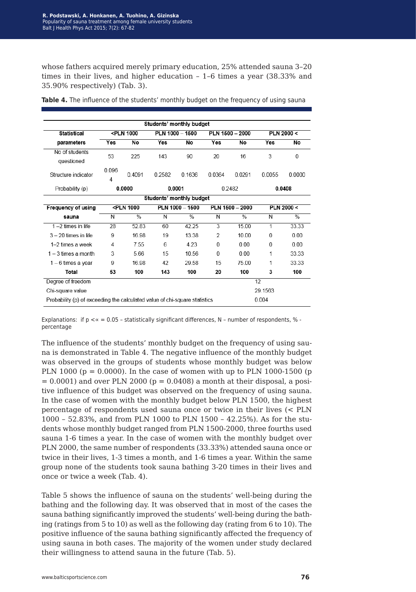whose fathers acquired merely primary education, 25% attended sauna 3–20 times in their lives, and higher education – 1–6 times a year (38.33% and 35.90% respectively) (Tab. 3).

|                                                                            |            |                                                                                                                                          |        | Students' monthly budget |        |                 |                         |               |
|----------------------------------------------------------------------------|------------|------------------------------------------------------------------------------------------------------------------------------------------|--------|--------------------------|--------|-----------------|-------------------------|---------------|
| <b>Statistical</b>                                                         |            | <pln 1000<="" th=""><th></th><th colspan="2">PLN 1000 - 1500</th><th>PLN 1500 - 2000</th><th colspan="2">PLN 2000 &lt;</th></pln>        |        | PLN 1000 - 1500          |        | PLN 1500 - 2000 | PLN 2000 <              |               |
| parameters                                                                 | Yes        | No                                                                                                                                       | Yes    | No                       | Yes    | No              | Yes                     | No            |
| No of students<br>questioned                                               | 53         | 225                                                                                                                                      | 143    | 90                       | 20     | 16              | 3                       | 0             |
| Structure indicator                                                        | 0.096<br>4 | 0.4091                                                                                                                                   | 0.2582 | 0.1636                   | 0.0364 | 0.0291          | 0.0055                  | 0.0000        |
| Probability (p)                                                            |            | 0.0001<br>0.0000                                                                                                                         |        |                          |        | 0.2482          |                         | 0.0408        |
|                                                                            |            |                                                                                                                                          |        | Students' monthly budget |        |                 |                         |               |
| Frequency of using                                                         |            | <pln 1000<="" td=""><td></td><td>PLN <math>1000 - 1500</math></td><td></td><td>PLN 1500 - 2000</td><td></td><td>PLN 2000 &lt;</td></pln> |        | PLN $1000 - 1500$        |        | PLN 1500 - 2000 |                         | PLN 2000 <    |
| sauna                                                                      | N          | $\frac{0}{2}$                                                                                                                            | N      | $\frac{0}{6}$            | N      | $\frac{0}{2}$   | $\overline{\mathsf{N}}$ | $\frac{0}{2}$ |
| $1 - 2$ times in life                                                      | 28         | 52.83                                                                                                                                    | 60     | 42.25                    | 3      | 15.00           | 1                       | 33.33         |
| $3 - 20$ times in life                                                     | 9          | 16.98                                                                                                                                    | 19     | 13.38                    | 2      | 10.00           | 0                       | 0.00          |
| 1-2 times a week                                                           | 4          | 7.55                                                                                                                                     | 6      | 4.23                     | 0      | 0.00            | 0                       | 0.00          |
| $1 - 3$ times a month                                                      | 3          | 5.66                                                                                                                                     | 15     | 10.56                    | O      | 0.00            | 1                       | 33.33         |
| 1 - 6 times a year                                                         | 9          | 16.98                                                                                                                                    | 42     | 29.58                    | 15     | 75.00           | 1                       | 33.33         |
| Total                                                                      | 53         | 100                                                                                                                                      | 143    | 100                      | 20     | 100             | 3                       | 100           |
| Degree of freedom                                                          |            |                                                                                                                                          |        |                          |        |                 | 12                      |               |
| Chi-square value                                                           |            |                                                                                                                                          |        |                          |        |                 | 29.1563                 |               |
| Probability (p) of exceeding the calculated value of chi-square statistics |            |                                                                                                                                          |        |                          |        |                 | 0.004                   |               |

**Table 4.** The influence of the students' monthly budget on the frequency of using sauna

Explanations: if  $p \le x = 0.05$  – statistically significant differences, N – number of respondents, % percentage

The influence of the students' monthly budget on the frequency of using sauna is demonstrated in Table 4. The negative influence of the monthly budget was observed in the groups of students whose monthly budget was below PLN 1000 ( $p = 0.0000$ ). In the case of women with up to PLN 1000-1500 ( $p$ )  $= 0.0001$ ) and over PLN 2000 ( $p = 0.0408$ ) a month at their disposal, a positive influence of this budget was observed on the frequency of using sauna. In the case of women with the monthly budget below PLN 1500, the highest percentage of respondents used sauna once or twice in their lives (< PLN 1000 – 52.83%, and from PLN 1000 to PLN 1500 – 42.25%). As for the students whose monthly budget ranged from PLN 1500-2000, three fourths used sauna 1-6 times a year. In the case of women with the monthly budget over PLN 2000, the same number of respondents (33.33%) attended sauna once or twice in their lives, 1-3 times a month, and 1-6 times a year. Within the same group none of the students took sauna bathing 3-20 times in their lives and once or twice a week (Tab. 4).

Table 5 shows the influence of sauna on the students' well-being during the bathing and the following day. It was observed that in most of the cases the sauna bathing significantly improved the students' well-being during the bathing (ratings from 5 to 10) as well as the following day (rating from 6 to 10). The positive influence of the sauna bathing significantly affected the frequency of using sauna in both cases. The majority of the women under study declared their willingness to attend sauna in the future (Tab. 5).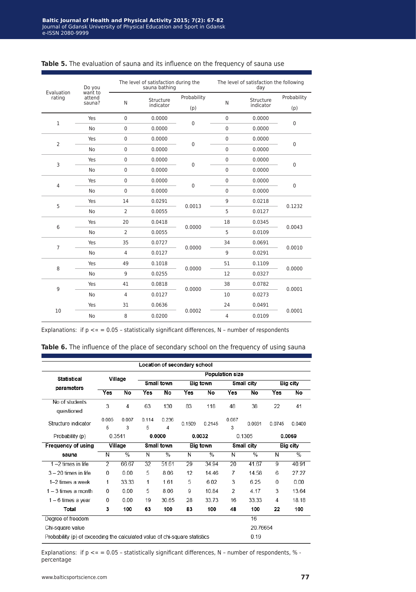| Evaluation     | Do you<br>want to |                | The level of satisfaction during the<br>sauna bathing |             |                | The level of satisfaction the following<br>day |             |
|----------------|-------------------|----------------|-------------------------------------------------------|-------------|----------------|------------------------------------------------|-------------|
| rating         | attend            | N              | Structure                                             | Probability | N              | Structure                                      | Probability |
|                | sauna?            |                | indicator                                             | (p)         |                | indicator                                      | (p)         |
| 1              | Yes               | 0              | 0.0000                                                | $\pmb{0}$   | $\mathbf 0$    | 0.0000                                         | $\pmb{0}$   |
|                | No                | 0              | 0.0000                                                |             | $\pmb{0}$      | 0.0000                                         |             |
| $\overline{2}$ | Yes               | $\mathbf 0$    | 0.0000                                                |             | $\mathbf 0$    | 0.0000                                         | $\pmb{0}$   |
|                | <b>No</b>         | 0              | 0.0000                                                | $\pmb{0}$   | $\mathbf 0$    | 0.0000                                         |             |
| 3              | Yes               | $\mathbf{0}$   | 0.0000                                                | $\pmb{0}$   | $\mathbf 0$    | 0.0000                                         | $\mathbf 0$ |
|                | <b>No</b>         | $\mathbf 0$    | 0.0000                                                |             | 0              | 0.0000                                         |             |
|                | Yes               | 0              | 0.0000                                                |             | $\mathbf 0$    | 0.0000                                         |             |
| $\overline{4}$ | <b>No</b>         | $\mathbf{0}$   | 0.0000                                                | $\pmb{0}$   | $\mathbf 0$    | 0.0000                                         | $\pmb{0}$   |
| 5              | Yes               | 14             | 0.0291                                                | 0.0013      | 9              | 0.0218                                         | 0.1232      |
|                | No                | $\overline{2}$ | 0.0055                                                |             | 5              | 0.0127                                         |             |
|                | Yes               | 20             | 0.0418                                                |             | 18             | 0.0345                                         |             |
| 6              | <b>No</b>         | $\overline{2}$ | 0.0055                                                | 0.0000      | 5              | 0.0109                                         | 0.0043      |
| $\overline{7}$ | Yes               | 35             | 0.0727                                                | 0.0000      | 34             | 0.0691                                         |             |
|                | <b>No</b>         | 4              | 0.0127                                                |             | 9              | 0.0291                                         | 0.0010      |
|                | Yes               | 49             | 0.1018                                                |             | 51             | 0.1109                                         |             |
| 8              | <b>No</b>         | 9              | 0.0255                                                | 0.0000      | 12             | 0.0327                                         | 0.0000      |
|                | Yes               | 41             | 0.0818                                                |             | 38             | 0.0782                                         |             |
| 9              | No                | 4              | 0.0127                                                | 0.0000      | 10             | 0.0273                                         | 0.0001      |
|                | Yes               | 31             | 0.0636                                                |             | 24             | 0.0491                                         |             |
| 10             | No                | 8              | 0.0200                                                | 0.0002      | $\overline{4}$ | 0.0109                                         | 0.0001      |

#### Table 5. The evaluation of sauna and its influence on the frequency of sauna use

Explanations: if  $p \lt \approx = 0.05$  – statistically significant differences, N – number of respondents

|  | Table 6. The influence of the place of secondary school on the frequency of using sauna |  |  |  |  |  |
|--|-----------------------------------------------------------------------------------------|--|--|--|--|--|
|--|-----------------------------------------------------------------------------------------|--|--|--|--|--|

|                                                                            |            |                |                 |            | Location of secondary school |               |                        |            |          |                                                                                           |
|----------------------------------------------------------------------------|------------|----------------|-----------------|------------|------------------------------|---------------|------------------------|------------|----------|-------------------------------------------------------------------------------------------|
|                                                                            |            |                |                 |            |                              |               | <b>Population size</b> |            |          |                                                                                           |
| <b>Statistical</b>                                                         |            | Village        |                 | Small town |                              | Big town      |                        | Small city |          | Big city<br>No<br>41<br>0.0400<br>$\%$<br>40.91<br>27.27<br>0.00<br>13.64<br>18.18<br>100 |
| parameters                                                                 | Yes        | No             | Yes             | No         | Yes                          | No            | Yes                    | No         | Yes      |                                                                                           |
| No of students<br>questioned                                               | 3          | $\overline{4}$ | 63              | 130        | 83                           | 118           | 48                     | 38         | 22       |                                                                                           |
| Structure indicator                                                        | 0.005<br>5 | 0.007<br>3     | 0.114<br>5      | 0.236<br>4 | 0.1509                       | 0.2145        | 0.087<br>3             | 0.0691     | 0.0745   |                                                                                           |
| Probability (p)                                                            |            | 0.3541         |                 | 0.0000     |                              | 0.0032        |                        | 0.1305     |          | 0.0069                                                                                    |
| Frequency of using                                                         |            | Village        |                 | Small town | Small city<br>Big town       |               |                        |            | Big city |                                                                                           |
| sauna                                                                      | N          | %              | N               | %          | N                            | $\frac{0}{2}$ | N                      | $\%$       | N        |                                                                                           |
| $1 - 2$ times in life                                                      | 2          | 66.67          | $\overline{32}$ | 51.61      | 29                           | 34.94         | 20                     | 41.67      | 9        |                                                                                           |
| $3 - 20$ times in life                                                     | 0          | 0.00           | 5               | 8.06       | 12                           | 14.46         | 7                      | 14.58      | 6        |                                                                                           |
| 1-2 times a week                                                           | 1          | 33.33          | 1               | 1.61       | 5                            | 6.02          | 3                      | 6.25       | 0        |                                                                                           |
| $1 - 3$ times a month                                                      | 0          | 0.00           | 5               | 8.06       | 9                            | 10.84         | $\mathfrak{D}$         | 4.17       | 3        |                                                                                           |
| 1 – 6 times a year                                                         | 0          | 0.00           | 19              | 30.65      | 28                           | 33.73         | 16                     | 33.33      | 4        |                                                                                           |
| Total                                                                      | 3          | 100            | 63              | 100        | 83                           | 100           | 48                     | 100        | 22       |                                                                                           |
| Degree of freedom                                                          |            |                |                 |            |                              |               |                        | 16         |          |                                                                                           |
| Chi-square value                                                           |            |                |                 |            |                              |               |                        | 20.76654   |          |                                                                                           |
| Probability (p) of exceeding the calculated value of chi-square statistics |            |                |                 |            |                              |               |                        | 0.19       |          |                                                                                           |

Explanations: if  $p < \alpha = 0.05$  – statistically significant differences, N – number of respondents, % percentage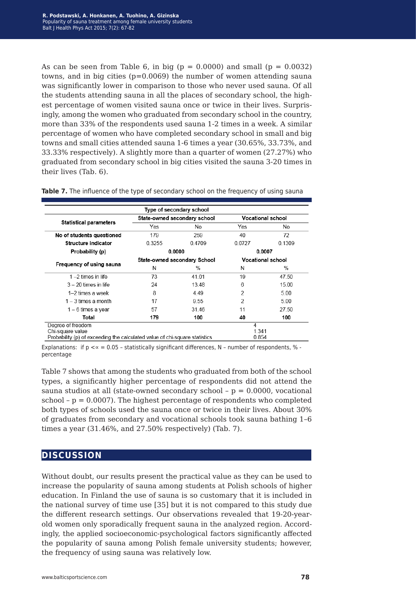As can be seen from Table 6, in big ( $p = 0.0000$ ) and small ( $p = 0.0032$ ) towns, and in big cities (p=0.0069) the number of women attending sauna was significantly lower in comparison to those who never used sauna. Of all the students attending sauna in all the places of secondary school, the highest percentage of women visited sauna once or twice in their lives. Surprisingly, among the women who graduated from secondary school in the country, more than 33% of the respondents used sauna 1-2 times in a week. A similar percentage of women who have completed secondary school in small and big towns and small cities attended sauna 1-6 times a year (30.65%, 33.73%, and 33.33% respectively). A slightly more than a quarter of women (27.27%) who graduated from secondary school in big cities visited the sauna 3-20 times in their lives (Tab. 6).

|                                                                                                |        | Type of secondary school     |                |                          |
|------------------------------------------------------------------------------------------------|--------|------------------------------|----------------|--------------------------|
| <b>Statistical parameters</b>                                                                  |        | State-owned secondary school |                | <b>Vocational school</b> |
|                                                                                                | Yes    | No.                          | Yes            | No.                      |
| No of students questioned                                                                      | 179    | 259                          | 40             | 72                       |
| Structure indicator                                                                            | 0.3255 | 0.4709                       | 0.0727         | 0.1309                   |
| Probability (p)                                                                                |        | 0.0000                       |                | 0.0007                   |
|                                                                                                |        | State-owned secondary School |                | <b>Vocational school</b> |
| Frequency of using sauna                                                                       | N      | $\%$                         | N              | $\%$                     |
| $1 - 2$ times in life                                                                          | 73     | 41.01                        | 19             | 47.50                    |
| $3 - 20$ times in life                                                                         | 24     | 13.48                        | 6              | 15.00                    |
| 1–2 times a week                                                                               | 8      | 4 4 9                        | 2              | 5.00                     |
| $1 - 3$ times a month                                                                          | 17     | 9.55                         | 2              | 5.00                     |
| 1 – 6 times a year                                                                             | 57     | 31.46                        | 11             | 27.50                    |
| Total                                                                                          | 179    | 100                          | 40             | 100                      |
| Degree of freedom                                                                              |        |                              | 4              |                          |
| Chi-square value<br>Probability (p) of exceeding the calculated value of chi-square statistics |        |                              | 1.341<br>0.854 |                          |

**Table 7.** The influence of the type of secondary school on the frequency of using sauna

Explanations: if  $p \le x = 0.05$  – statistically significant differences, N – number of respondents, % percentage

Table 7 shows that among the students who graduated from both of the school types, a significantly higher percentage of respondents did not attend the sauna studios at all (state-owned secondary school  $-p = 0.0000$ , vocational school  $-p = 0.0007$ . The highest percentage of respondents who completed both types of schools used the sauna once or twice in their lives. About 30% of graduates from secondary and vocational schools took sauna bathing 1–6 times a year (31.46%, and 27.50% respectively) (Tab. 7).

## **discussion**

Without doubt, our results present the practical value as they can be used to increase the popularity of sauna among students at Polish schools of higher education. In Finland the use of sauna is so customary that it is included in the national survey of time use [35] but it is not compared to this study due the different research settings. Our observations revealed that 19-20-yearold women only sporadically frequent sauna in the analyzed region. Accordingly, the applied socioeconomic-psychological factors significantly affected the popularity of sauna among Polish female university students; however, the frequency of using sauna was relatively low.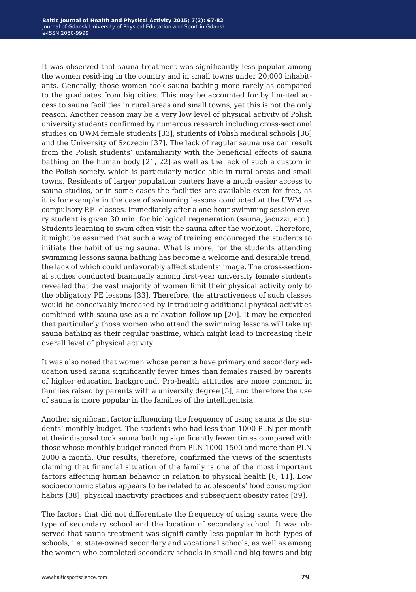It was observed that sauna treatment was significantly less popular among the women resid-ing in the country and in small towns under 20,000 inhabitants. Generally, those women took sauna bathing more rarely as compared to the graduates from big cities. This may be accounted for by lim-ited access to sauna facilities in rural areas and small towns, yet this is not the only reason. Another reason may be a very low level of physical activity of Polish university students confirmed by numerous research including cross-sectional studies on UWM female students [33], students of Polish medical schools [36] and the University of Szczecin [37]. The lack of regular sauna use can result from the Polish students' unfamiliarity with the beneficial effects of sauna bathing on the human body [21, 22] as well as the lack of such a custom in the Polish society, which is particularly notice-able in rural areas and small towns. Residents of larger population centers have a much easier access to sauna studios, or in some cases the facilities are available even for free, as it is for example in the case of swimming lessons conducted at the UWM as compulsory P.E. classes. Immediately after a one-hour swimming session every student is given 30 min. for biological regeneration (sauna, jacuzzi, etc.). Students learning to swim often visit the sauna after the workout. Therefore, it might be assumed that such a way of training encouraged the students to initiate the habit of using sauna. What is more, for the students attending swimming lessons sauna bathing has become a welcome and desirable trend, the lack of which could unfavorably affect students' image. The cross-sectional studies conducted biannually among first-year university female students revealed that the vast majority of women limit their physical activity only to the obligatory PE lessons [33]. Therefore, the attractiveness of such classes would be conceivably increased by introducing additional physical activities combined with sauna use as a relaxation follow-up [20]. It may be expected that particularly those women who attend the swimming lessons will take up sauna bathing as their regular pastime, which might lead to increasing their overall level of physical activity.

It was also noted that women whose parents have primary and secondary education used sauna significantly fewer times than females raised by parents of higher education background. Pro-health attitudes are more common in families raised by parents with a university degree [5], and therefore the use of sauna is more popular in the families of the intelligentsia.

Another significant factor influencing the frequency of using sauna is the students' monthly budget. The students who had less than 1000 PLN per month at their disposal took sauna bathing significantly fewer times compared with those whose monthly budget ranged from PLN 1000-1500 and more than PLN 2000 a month. Our results, therefore, confirmed the views of the scientists claiming that financial situation of the family is one of the most important factors affecting human behavior in relation to physical health [6, 11]. Low socioeconomic status appears to be related to adolescents' food consumption habits [38], physical inactivity practices and subsequent obesity rates [39].

The factors that did not differentiate the frequency of using sauna were the type of secondary school and the location of secondary school. It was observed that sauna treatment was signifi-cantly less popular in both types of schools, i.e. state-owned secondary and vocational schools, as well as among the women who completed secondary schools in small and big towns and big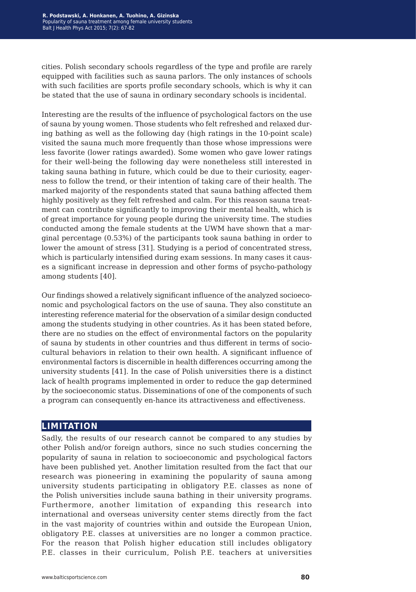cities. Polish secondary schools regardless of the type and profile are rarely equipped with facilities such as sauna parlors. The only instances of schools with such facilities are sports profile secondary schools, which is why it can be stated that the use of sauna in ordinary secondary schools is incidental.

Interesting are the results of the influence of psychological factors on the use of sauna by young women. Those students who felt refreshed and relaxed during bathing as well as the following day (high ratings in the 10-point scale) visited the sauna much more frequently than those whose impressions were less favorite (lower ratings awarded). Some women who gave lower ratings for their well-being the following day were nonetheless still interested in taking sauna bathing in future, which could be due to their curiosity, eagerness to follow the trend, or their intention of taking care of their health. The marked majority of the respondents stated that sauna bathing affected them highly positively as they felt refreshed and calm. For this reason sauna treatment can contribute significantly to improving their mental health, which is of great importance for young people during the university time. The studies conducted among the female students at the UWM have shown that a marginal percentage (0.53%) of the participants took sauna bathing in order to lower the amount of stress [31]. Studying is a period of concentrated stress, which is particularly intensified during exam sessions. In many cases it causes a significant increase in depression and other forms of psycho-pathology among students [40].

Our findings showed a relatively significant influence of the analyzed socioeconomic and psychological factors on the use of sauna. They also constitute an interesting reference material for the observation of a similar design conducted among the students studying in other countries. As it has been stated before, there are no studies on the effect of environmental factors on the popularity of sauna by students in other countries and thus different in terms of sociocultural behaviors in relation to their own health. A significant influence of environmental factors is discernible in health differences occurring among the university students [41]. In the case of Polish universities there is a distinct lack of health programs implemented in order to reduce the gap determined by the socioeconomic status. Disseminations of one of the components of such a program can consequently en-hance its attractiveness and effectiveness.

### **limitation**

Sadly, the results of our research cannot be compared to any studies by other Polish and/or foreign authors, since no such studies concerning the popularity of sauna in relation to socioeconomic and psychological factors have been published yet. Another limitation resulted from the fact that our research was pioneering in examining the popularity of sauna among university students participating in obligatory P.E. classes as none of the Polish universities include sauna bathing in their university programs. Furthermore, another limitation of expanding this research into international and overseas university center stems directly from the fact in the vast majority of countries within and outside the European Union, obligatory P.E. classes at universities are no longer a common practice. For the reason that Polish higher education still includes obligatory P.E. classes in their curriculum, Polish P.E. teachers at universities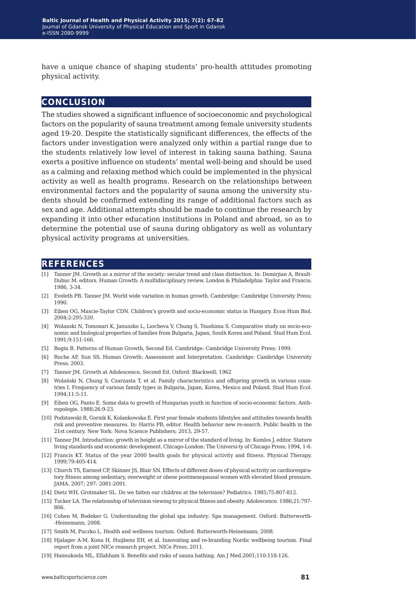have a unique chance of shaping students' pro-health attitudes promoting physical activity.

# **conclusion**

The studies showed a significant influence of socioeconomic and psychological factors on the popularity of sauna treatment among female university students aged 19-20. Despite the statistically significant differences, the effects of the factors under investigation were analyzed only within a partial range due to the students relatively low level of interest in taking sauna bathing. Sauna exerts a positive influence on students' mental well-being and should be used as a calming and relaxing method which could be implemented in the physical activity as well as health programs. Research on the relationships between environmental factors and the popularity of sauna among the university students should be confirmed extending its range of additional factors such as sex and age. Additional attempts should be made to continue the research by expanding it into other education institutions in Poland and abroad, so as to determine the potential use of sauna during obligatory as well as voluntary physical activity programs at universities.

## **references**

- [1] Tanner JM. Growth as a mirror of the society: secular trend and class distinction. In: Demirjian A, Brault-Dubuc M. editors. Human Growth: A multidisciplinary review. London & Philadelphia: Taylor and Francis; 1986, 3-34.
- [2] Eveleth PB, Tanner JM. World wide variation in human growth. Cambridge: Cambridge University Press; 1990.
- [3] Eiben OG, Mascie-Taylor CDN. Children's growth and socio-economic status in Hungary. Econ Hum Biol. 2004;2:295-320.
- [4] Wolanski N, Tomonari K, Januszko L, Liocheva V, Chung S, Tsushima S. Comparative study on socio-economic and biological properties of families from Bulgaria, Japan, South Korea and Poland. Stud Hum Ecol. 1991;9:151-166.
- [5] Bogin B. Patterns of Human Growth, Second Ed. Cambridge: Cambridge University Press; 1999.
- [6] Roche AF, Sun SS. Human Growth: Assessment and Interpretation. Cambridge: Cambridge University Press; 2003.
- [7] Tanner JM. Growth at Adolescence, Second Ed. Oxford: Blackwell; 1962
- [8] Wolański N, Chung S, Czarzasta T, et al. Family characteristics and offspring growth in various countries I. Frequency of various family types in Bulgaria, Japan, Korea, Mexico and Poland. Stud Hum Ecol. 1994;11:5-11.
- [9] Eiben OG, Panto E. Some data to growth of Hungarian youth in function of socio-economic factors. Anthropologie. 1988;26:9-23.
- [10] Podstawski R, Gornik K, Kolankowska E. First year female students lifestyles and attitudes towards health risk and preventive measures. In: Harris PB, editor. Health behavior new re-search. Public health in the 21st century. New York: Nova Science Publishers; 2013, 29-57.
- [11] Tanner JM. Introduction: growth in height as a mirror of the standard of living. In: Komlos J, editor. Stature living standards and economic development. Chicago-London: The Universi-ty of Chicago Press; 1994, 1-6.
- [12] Francis KT. Status of the year 2000 health goals for physical activity and fitness. Physical Therapy. 1999;79:405-414.
- [13] Church TS, Earnest CP, Skinner JS, Blair SN. Effects of different doses of physical activity on cardiorespiratory fitness among sedentary, overweight or obese postmenopausal women with elevated blood pressure. JAMA. 2007; 297: 2081-2091.
- [14] Dietz WH, Grotmaker SL. Do we fatten our children at the television? Pediatrics. 1985;75:807-812.
- [15] Tucker LA. The relationship of television viewing to physical fitness and obesity. Adolescence. 1986;21:797- 806.
- [16] Cohen M, Bodeker G. Understanding the global spa industry: Spa management. Oxford: Butterworth- -Heinemann; 2008.
- [17] Smith M, Puczko L. Health and wellness tourism. Oxford: Butterworth-Heinemann; 2008.
- [18] Hjalager A-M, Konu H, Huijbens EH, et al. Innovating and re-branding Nordic wellbeing tourism. Final report from a joint NICe research project. NICe Press; 2011.
- [19] Hannuksela ML, Ellahham S. Benefits and risks of sauna bathing. Am J Med.2001;110:118-126.